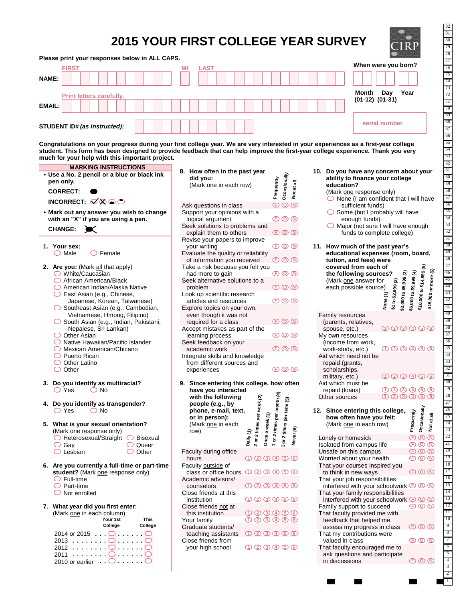### **2015 YOUR FIRST COLLEGE YEAR SURVEY**

| Please print your responses below in ALL CAPS. |                                 |    |             |                      |
|------------------------------------------------|---------------------------------|----|-------------|----------------------|
|                                                | <b>FIRST</b>                    | ΜI | <b>LAST</b> | When were you born?  |
| NAME:                                          |                                 |    |             |                      |
|                                                | <b>Print letters carefully.</b> |    |             | Year<br>Month<br>Day |
| <b>EMAIL:</b>                                  |                                 |    |             | $(01-12)$ $(01-31)$  |
|                                                | STUDENT ID# (as instructed):    |    |             | serial number        |

**MARKING INSTRUCTIONS Congratulations on your progress during your first college year. We are very interested in your experiences as a first-year college student. This form has been designed to provide feedback that can help improve the first-year college experience. Thank you very much for your help with this important project.**

| <b>MARKING INSTRUCTIONS</b>                                                                |                                                                     |
|--------------------------------------------------------------------------------------------|---------------------------------------------------------------------|
| • Use a No. 2 pencil or a blue or black ink<br>pen only.                                   | 8. How often in the past year<br>did you:<br>(Mark one in each row) |
| <b>CORRECT:</b>                                                                            |                                                                     |
| INCORRECT: $\textcircled{x} \otimes \textcircled{x}$                                       |                                                                     |
|                                                                                            | Ask questions in class                                              |
| • Mark out any answer you wish to change<br>with an "X" if you are using a pen.            | Support your opinions with a<br>logical argument                    |
| <b>CHANGE:</b><br>$\blacktriangleright$                                                    | Seek solutions to problems and                                      |
|                                                                                            | explain them to others                                              |
| 1. Your sex:                                                                               | Revise your papers to improve<br>your writing                       |
| $\bigcirc$ Male<br>$\bigcirc$ Female                                                       | Evaluate the quality or reliability<br>of information you received  |
| 2. Are you: (Mark all that apply)<br>$\bigcirc$ White/Caucasian                            | Take a risk because you felt yo                                     |
| ○ African American/Black                                                                   | had more to gain<br>Seek alternative solutions to a                 |
| ○ American Indian/Alaska Native                                                            | problem                                                             |
| ◯ East Asian (e.g., Chinese,                                                               | Look up scientific research                                         |
| Japanese, Korean, Taiwanese)                                                               | articles and resources                                              |
| ◯ Southeast Asian (e.g., Cambodian,                                                        | Explore topics on your own,                                         |
| Vietnamese, Hmong, Filipino)                                                               | even though it was not                                              |
| ◯ South Asian (e.g., Indian, Pakistani,                                                    | required for a class                                                |
| Nepalese, Sri Lankan)                                                                      | Accept mistakes as part of the                                      |
| $\bigcirc$ Other Asian<br>$\bigcirc$ Native Hawaiian/Pacific Islander                      | learning process<br>Seek feedback on your                           |
| O Mexican American/Chicano                                                                 | academic work                                                       |
| $\bigcirc$ Puerto Rican                                                                    | Integrate skills and knowledge                                      |
| $\bigcirc$ Other Latino                                                                    | from different sources and                                          |
| $\bigcirc$ Other                                                                           | experiences                                                         |
|                                                                                            |                                                                     |
| 3. Do you identify as multiracial?<br>$\bigcirc$ Yes<br>$\bigcirc$ No                      | 9. Since entering this college                                      |
|                                                                                            | have you interacted<br>with the following                           |
| 4. Do you identify as transgender?                                                         | 2 or 3 times per week (2)<br>people (e.g., by                       |
| $\bigcirc$ Yes<br>$\bigcirc$ No                                                            | phone, e-mail, text,                                                |
|                                                                                            | or in person):                                                      |
| 5. What is your sexual orientation?                                                        | (Mark one in each                                                   |
| (Mark one response only)                                                                   | row)<br>Daily (1)                                                   |
| $\bigcirc$ Heterosexual/Straight $\bigcirc$ Bisexual<br>$\bigcirc$ Gay<br>$\bigcirc$ Queer |                                                                     |
| $\bigcirc$ Lesbian<br>$\bigcirc$ Other                                                     | Faculty during office                                               |
|                                                                                            | hours                                                               |
| 6. Are you currently a full-time or part-time                                              | Faculty outside of                                                  |
| student? (Mark one response only)                                                          | $\bigcirc$ $\bigcirc$ $\bigcirc$<br>class or office hours           |
|                                                                                            |                                                                     |
| $\bigcirc$ Full-time                                                                       | Academic advisors/                                                  |
| $\bigcirc$ Part-time                                                                       | counselors<br>① ② 〇                                                 |
| $\bigcirc$ Not enrolled                                                                    | Close friends at this                                               |
|                                                                                            | $\mathop{\textcircled{D}}\mathop{\mathbb{O}}$ (<br>institution      |
| 7. What year did you first enter:                                                          | Close friends not at                                                |
| (Mark one in each column)<br>Your 1st<br><b>This</b>                                       | this institution<br>$\circledcirc$                                  |
| College<br>College                                                                         | Your family<br>Graduate students/                                   |
| $2014$ or 2015 $\ldots$ $\bigcirc$ $\ldots$ .                                              | teaching assistants<br>$\bigcirc$ $\bigcirc$ $\bigcirc$             |
|                                                                                            | Close friends from                                                  |
| 2012 $\ldots \ldots \cup \ldots$                                                           | $\bigcirc$ $\bigcirc$ $\bigcirc$<br>your high school                |
| 2011 $\bigcirc$<br>2010 or earlier $\Box$                                                  |                                                                     |

| .<br>did you:<br>(Mark one in each row)                 |         |  |                         |  |
|---------------------------------------------------------|---------|--|-------------------------|--|
|                                                         |         |  |                         |  |
| Ask questions in class                                  |         |  | $\circledcirc$          |  |
| Support your opinions with a                            |         |  |                         |  |
| logical argument                                        |         |  | <b>E O N</b>            |  |
| Seek solutions to problems and                          |         |  | $\circledR$ $\circledR$ |  |
| explain them to others<br>Revise your papers to improve |         |  |                         |  |
| your writing                                            |         |  | $(D \n0 \n0$            |  |
| Evaluate the quality or reliability                     |         |  |                         |  |
| of information you received                             |         |  | $(D \nO \nO)$           |  |
| Take a risk because you felt you<br>had more to gain    |         |  | <b>E O N</b>            |  |
| Seek alternative solutions to a                         |         |  |                         |  |
| problem                                                 |         |  | <b>DO N</b>             |  |
| Look up scientific research                             |         |  |                         |  |
| articles and resources                                  |         |  | (F) ① (N)               |  |
| Explore topics on your own,<br>even though it was not   |         |  |                         |  |
| required for a class                                    |         |  | <b>E O N</b>            |  |
| Accept mistakes as part of the                          |         |  |                         |  |
| learning process                                        |         |  | <b>E @ N</b>            |  |
| Seek feedback on your                                   |         |  |                         |  |
| academic work<br>Integrate skills and knowledge         |         |  | <b>E O N</b>            |  |
|                                                         |         |  |                         |  |
|                                                         |         |  |                         |  |
| from different sources and                              |         |  | <b>DO N</b>             |  |
| experiences                                             |         |  |                         |  |
| Since entering this college, how often<br>9.            |         |  |                         |  |
| have you interacted                                     |         |  |                         |  |
| with the following                                      |         |  |                         |  |
| people (e.g., by<br>phone, e-mail, text,                |         |  |                         |  |
| or in person):                                          |         |  |                         |  |
| (Mark <u>one</u> in each                                |         |  |                         |  |
| row)                                                    |         |  |                         |  |
|                                                         |         |  |                         |  |
| Faculty during office                                   |         |  |                         |  |
| hours                                                   | 0000000 |  |                         |  |
| Faculty <u>outside</u> of                               |         |  |                         |  |
| class or office hours                                   | 0000000 |  |                         |  |
| Academic advisors/<br>counselors                        | 0000000 |  |                         |  |
| Close friends at this                                   |         |  |                         |  |
| institution                                             | 0000000 |  |                         |  |
| Close friends not at                                    |         |  |                         |  |
| this institution                                        | 0000000 |  |                         |  |
| Your family                                             | 0000000 |  |                         |  |
| Graduate students/<br>teaching assistants               | 0000000 |  |                         |  |
| Close friends from<br>your high school                  | 0000000 |  |                         |  |

| 10.<br>Do you have any concern about your<br>ability to finance your college<br>education?<br>(Mark one response only)<br>$\bigcirc$ None (I am confident that I will have<br>sufficient funds)<br>Some (but I probably will have<br>enough funds)<br>Major (not sure I will have enough<br>funds to complete college) |                                              |  |  |  |  |
|------------------------------------------------------------------------------------------------------------------------------------------------------------------------------------------------------------------------------------------------------------------------------------------------------------------------|----------------------------------------------|--|--|--|--|
| How much of the past year's<br>11.<br>educational expenses (room, board,<br>tuition, and fees) were<br>covered from each of<br>the following sources?<br>to \$5.999<br>(Mark one answer for<br>each possible source)                                                                                                   |                                              |  |  |  |  |
| Family resources                                                                                                                                                                                                                                                                                                       |                                              |  |  |  |  |
| (parents, relatives,                                                                                                                                                                                                                                                                                                   |                                              |  |  |  |  |
| spouse, etc.)                                                                                                                                                                                                                                                                                                          | 000000                                       |  |  |  |  |
| My own resources                                                                                                                                                                                                                                                                                                       |                                              |  |  |  |  |
| (income from work,                                                                                                                                                                                                                                                                                                     |                                              |  |  |  |  |
| work-study, etc.)                                                                                                                                                                                                                                                                                                      | 0000000                                      |  |  |  |  |
| Aid which need not be                                                                                                                                                                                                                                                                                                  |                                              |  |  |  |  |
| repaid (grants,                                                                                                                                                                                                                                                                                                        |                                              |  |  |  |  |
| scholarships,                                                                                                                                                                                                                                                                                                          |                                              |  |  |  |  |
| military, etc.)                                                                                                                                                                                                                                                                                                        | 000000                                       |  |  |  |  |
| Aid which must be                                                                                                                                                                                                                                                                                                      |                                              |  |  |  |  |
| repaid (loans)                                                                                                                                                                                                                                                                                                         | 0000000                                      |  |  |  |  |
| Other sources                                                                                                                                                                                                                                                                                                          | 000000                                       |  |  |  |  |
|                                                                                                                                                                                                                                                                                                                        |                                              |  |  |  |  |
| Since entering this college,<br>12.                                                                                                                                                                                                                                                                                    | ᢛ                                            |  |  |  |  |
| how often have you felt:                                                                                                                                                                                                                                                                                               |                                              |  |  |  |  |
| (Mark one in each row)                                                                                                                                                                                                                                                                                                 |                                              |  |  |  |  |
| Lonely or homesick                                                                                                                                                                                                                                                                                                     | $\overline{D}$ $\overline{O}$ $\overline{O}$ |  |  |  |  |
|                                                                                                                                                                                                                                                                                                                        | $\circledcirc$ $\circledcirc$                |  |  |  |  |
| Isolated from campus life<br>Unsafe on this campus                                                                                                                                                                                                                                                                     | $\circledcirc$ $\circledcirc$                |  |  |  |  |
| Worried about your health                                                                                                                                                                                                                                                                                              | $\circledcirc$ $\circledcirc$                |  |  |  |  |
| That your courses inspired you                                                                                                                                                                                                                                                                                         |                                              |  |  |  |  |
| to think in new ways                                                                                                                                                                                                                                                                                                   | $\circledcirc$ $\circledcirc$                |  |  |  |  |
| That your job responsibilities                                                                                                                                                                                                                                                                                         |                                              |  |  |  |  |
| interfered with your schoolwork $\overline{\mathbb{D} \circ \mathbb{D}}$                                                                                                                                                                                                                                               |                                              |  |  |  |  |
| That your family responsibilities                                                                                                                                                                                                                                                                                      |                                              |  |  |  |  |
| interfered with your schoolwork $\textcircled{\tiny{F}}$ $\textcircled{\tiny{F}}$                                                                                                                                                                                                                                      |                                              |  |  |  |  |
| Family support to succeed                                                                                                                                                                                                                                                                                              | (E) (O) (N)                                  |  |  |  |  |
| That faculty provided me with                                                                                                                                                                                                                                                                                          |                                              |  |  |  |  |
| feedback that helped me                                                                                                                                                                                                                                                                                                |                                              |  |  |  |  |
| assess my progress in class                                                                                                                                                                                                                                                                                            | © ⊙ ®                                        |  |  |  |  |
| That my contributions were                                                                                                                                                                                                                                                                                             |                                              |  |  |  |  |
| valued in class                                                                                                                                                                                                                                                                                                        | © ⊙ ®                                        |  |  |  |  |
| That faculty encouraged me to                                                                                                                                                                                                                                                                                          |                                              |  |  |  |  |
| ask questions and participate                                                                                                                                                                                                                                                                                          |                                              |  |  |  |  |
| in discussions                                                                                                                                                                                                                                                                                                         | $\circledcirc \circledcirc$                  |  |  |  |  |

 $\overline{R}$  $\overline{P}$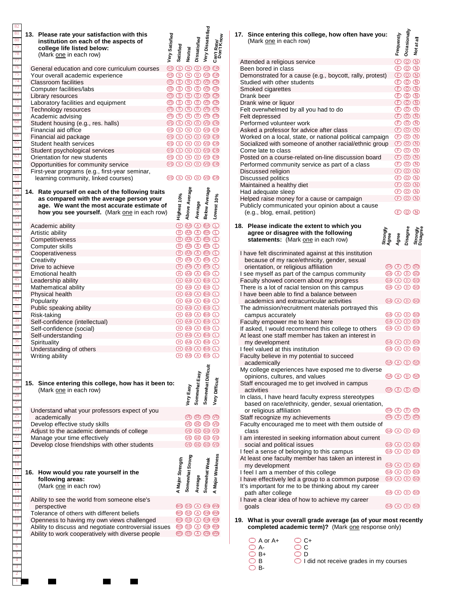|    | 13. Please rate your satisfaction with this<br>Very Satisfied<br>institution on each of the aspects of<br>college life listed below:<br>(Mark one in each row)                              | Satisfied                                                                                                                                                                                   | <b>Neutral</b>                                                                                                                                                                                                                                                                   | <b>Dissatisfied</b>                          | Very Dissatisfied        | Can't Rate/<br>Don't Know |
|----|---------------------------------------------------------------------------------------------------------------------------------------------------------------------------------------------|---------------------------------------------------------------------------------------------------------------------------------------------------------------------------------------------|----------------------------------------------------------------------------------------------------------------------------------------------------------------------------------------------------------------------------------------------------------------------------------|----------------------------------------------|--------------------------|---------------------------|
|    | General education and core curriculum courses                                                                                                                                               | $\overline{(\mathbb{S})}$ (s) (n) (d) (f) (cR                                                                                                                                               |                                                                                                                                                                                                                                                                                  |                                              |                          |                           |
|    | Your overall academic experience                                                                                                                                                            | $\circledcirc \circledcirc \circledcirc \circledcirc$                                                                                                                                       |                                                                                                                                                                                                                                                                                  |                                              |                          |                           |
|    | <b>Classroom facilities</b><br>Computer facilities/labs                                                                                                                                     | $\circledcirc \circledcirc \circledcirc \circledcirc$<br>$\circledcirc \circledcirc \circledcirc \circledcirc$                                                                              |                                                                                                                                                                                                                                                                                  |                                              |                          |                           |
|    | Library resources                                                                                                                                                                           | $\circledcirc \circledcirc \circledcirc \circledcirc$                                                                                                                                       |                                                                                                                                                                                                                                                                                  |                                              |                          |                           |
|    | Laboratory facilities and equipment                                                                                                                                                         | $\circledcirc$ $\circledcirc$ $\circledcirc$ $\circledcirc$                                                                                                                                 |                                                                                                                                                                                                                                                                                  |                                              |                          |                           |
|    | Technology resources                                                                                                                                                                        | $\textcircled{\tiny{R}}$ $\textcircled{\tiny{R}}$ $\textcircled{\tiny{R}}$ $\textcircled{\tiny{R}}$ $\textcircled{\tiny{R}}$                                                                |                                                                                                                                                                                                                                                                                  |                                              |                          |                           |
| 68 | Academic advising<br>Student housing (e.g., res. halls)                                                                                                                                     | $\circledcirc$ $\circledcirc$ $\circledcirc$ $\circledcirc$<br>$\textcircled{\tiny{R}}$ $\textcircled{\tiny{R}}$ $\textcircled{\tiny{R}}$ $\textcircled{\tiny{R}}$ $\textcircled{\tiny{R}}$ |                                                                                                                                                                                                                                                                                  |                                              |                          |                           |
| 67 | Financial aid office                                                                                                                                                                        | $\circledcirc$ $\circledcirc$ $\circledcirc$ $\circledcirc$                                                                                                                                 |                                                                                                                                                                                                                                                                                  |                                              |                          |                           |
| 66 | Financial aid package                                                                                                                                                                       | $\textcircled{\tiny{R}}$ $\textcircled{\tiny{R}}$ $\textcircled{\tiny{R}}$ $\textcircled{\tiny{R}}$                                                                                         |                                                                                                                                                                                                                                                                                  |                                              |                          |                           |
|    | Student health services                                                                                                                                                                     | $\circledcirc$ $\circledcirc$ $\circledcirc$ $\circledcirc$                                                                                                                                 |                                                                                                                                                                                                                                                                                  |                                              |                          |                           |
| 63 | Student psychological services<br>Orientation for new students                                                                                                                              | $\circledcirc \circledcirc \circledcirc \circledcirc$<br>$\circledcirc$ $\circledcirc$ $\circledcirc$ $\circledcirc$                                                                        |                                                                                                                                                                                                                                                                                  |                                              |                          |                           |
|    | Opportunities for community service                                                                                                                                                         | $\circledcirc \circledcirc \circledcirc \circledcirc$                                                                                                                                       |                                                                                                                                                                                                                                                                                  |                                              |                          |                           |
| 61 | First-year programs (e.g., first-year seminar,                                                                                                                                              |                                                                                                                                                                                             |                                                                                                                                                                                                                                                                                  |                                              |                          |                           |
| 60 | learning community, linked courses)                                                                                                                                                         | கு டு டு <del>மு</del> டூ                                                                                                                                                                   |                                                                                                                                                                                                                                                                                  |                                              |                          |                           |
|    | 14. Rate yourself on each of the following traits<br>as compared with the average person your<br>age. We want the most accurate estimate of<br>how you see yourself. (Mark one in each row) | Highest 10%                                                                                                                                                                                 | Above Average                                                                                                                                                                                                                                                                    | Average                                      | <b>Below Average</b>     | Lowest $10\%$             |
|    | Academic ability                                                                                                                                                                            |                                                                                                                                                                                             | $\textcircled{\tiny{H}}$ $\textcircled{\tiny{H}}$ $\textcircled{\tiny{H}}$ $\textcircled{\tiny{H}}$                                                                                                                                                                              |                                              |                          |                           |
|    | Artistic ability                                                                                                                                                                            |                                                                                                                                                                                             | $\textcircled{\tiny{H}}$ $\textcircled{\tiny{H}}$ $\textcircled{\tiny{H}}$ $\textcircled{\tiny{H}}$                                                                                                                                                                              |                                              |                          |                           |
|    | Competitiveness                                                                                                                                                                             |                                                                                                                                                                                             | $(A)$ $(A)$ $(B)$ $(D)$<br>$\textcircled{\tiny{H}}$ $\textcircled{\tiny{H}}$ $\textcircled{\tiny{H}}$ $\textcircled{\tiny{H}}$                                                                                                                                                   |                                              |                          |                           |
|    | Computer skills<br>Cooperativeness                                                                                                                                                          |                                                                                                                                                                                             | $\bigoplus$ $\bigoplus$ $\bigoplus$ $\bigoplus$                                                                                                                                                                                                                                  |                                              |                          |                           |
| 48 | Creativity                                                                                                                                                                                  |                                                                                                                                                                                             | $\textcircled{\tiny{H}}$ $\textcircled{\tiny{H}}$ $\textcircled{\tiny{H}}$ $\textcircled{\tiny{H}}$                                                                                                                                                                              |                                              |                          |                           |
|    | Drive to achieve                                                                                                                                                                            |                                                                                                                                                                                             | $\bigoplus$ $\bigoplus$ $\bigoplus$ $\bigoplus$                                                                                                                                                                                                                                  |                                              |                          |                           |
|    | <b>Emotional health</b>                                                                                                                                                                     |                                                                                                                                                                                             | $\textcircled{\tiny{H}}$ $\textcircled{\tiny{H}}$ $\textcircled{\tiny{H}}$ $\textcircled{\tiny{H}}$                                                                                                                                                                              |                                              |                          |                           |
|    | Leadership ability<br>Mathematical ability                                                                                                                                                  |                                                                                                                                                                                             | $\bigoplus$ $\bigoplus$ $\bigoplus$ $\bigoplus$<br>$\textcircled{\tiny{\textcircled{\tiny{H}}}} \textcircled{\tiny{\textcircled{\tiny{H}}}} \textcircled{\tiny{\textcircled{\tiny{H}}}} \textcircled{\tiny{\textcircled{\tiny{H}}}} \textcircled{\tiny{\textcircled{\tiny{H}}}}$ |                                              |                          |                           |
|    | Physical health                                                                                                                                                                             |                                                                                                                                                                                             | $\bigoplus$ $\bigoplus$ $\bigoplus$ $\bigoplus$                                                                                                                                                                                                                                  |                                              |                          |                           |
|    | Popularity                                                                                                                                                                                  |                                                                                                                                                                                             | $\textcircled{\tiny{H}}$ $\textcircled{\tiny{H}}$ $\textcircled{\tiny{H}}$ $\textcircled{\tiny{H}}$                                                                                                                                                                              |                                              |                          |                           |
|    | Public speaking ability                                                                                                                                                                     |                                                                                                                                                                                             | $\bigoplus$ $\bigoplus$ $\bigoplus$ $\bigoplus$                                                                                                                                                                                                                                  |                                              |                          |                           |
|    | Risk-taking<br>Self-confidence (intellectual)                                                                                                                                               |                                                                                                                                                                                             | $\textcircled{\tiny{\textcircled{\tiny{H}}}} \textcircled{\tiny{\textcircled{\tiny{H}}}} \textcircled{\tiny{\textcircled{\tiny{H}}}} \textcircled{\tiny{\textcircled{\tiny{H}}}} \textcircled{\tiny{\textcircled{\tiny{H}}}}$<br>$\bigoplus$ $\bigoplus$ $\bigoplus$ $\bigoplus$ |                                              |                          |                           |
|    | Self-confidence (social)                                                                                                                                                                    |                                                                                                                                                                                             | $\textcircled{\tiny{H}}$ $\textcircled{\tiny{H}}$ $\textcircled{\tiny{H}}$ $\textcircled{\tiny{H}}$                                                                                                                                                                              |                                              |                          |                           |
|    | Self-understanding                                                                                                                                                                          |                                                                                                                                                                                             | $(A)$ $(A)$ $(B)$ $(D)$                                                                                                                                                                                                                                                          |                                              |                          |                           |
|    | Spirituality                                                                                                                                                                                |                                                                                                                                                                                             | $\textcircled{\tiny{\textcircled{\tiny{H}}}} \textcircled{\tiny{\textcircled{\tiny{H}}}} \textcircled{\tiny{\textcircled{\tiny{H}}}} \textcircled{\tiny{\textcircled{\tiny{H}}}} \textcircled{\tiny{\textcircled{\tiny{H}}}}$                                                    |                                              |                          |                           |
|    | Understanding of others                                                                                                                                                                     |                                                                                                                                                                                             | $(A)$ $(A)$ $(B)$ $(D)$                                                                                                                                                                                                                                                          |                                              |                          |                           |
|    | Writing ability                                                                                                                                                                             |                                                                                                                                                                                             | $\textcircled{\tiny{H}}$ $\textcircled{\tiny{H}}$ $\textcircled{\tiny{H}}$ $\textcircled{\tiny{H}}$                                                                                                                                                                              |                                              |                          |                           |
|    | 15. Since entering this college, how has it been to:<br>(Mark one in each row)                                                                                                              |                                                                                                                                                                                             | Very Easy                                                                                                                                                                                                                                                                        | Somewhat Easy                                | <b>Somewhat Difficul</b> | Very Difficult            |
|    | Understand what your professors expect of you                                                                                                                                               |                                                                                                                                                                                             |                                                                                                                                                                                                                                                                                  |                                              |                          |                           |
|    | academically<br>Develop effective study skills                                                                                                                                              |                                                                                                                                                                                             |                                                                                                                                                                                                                                                                                  | <b>(E) GB GD (D)</b><br><b>(E) GB GD (D)</b> |                          |                           |
|    | Adjust to the academic demands of college                                                                                                                                                   |                                                                                                                                                                                             |                                                                                                                                                                                                                                                                                  | (TB GB GD (TD                                |                          |                           |
|    | Manage your time effectively                                                                                                                                                                |                                                                                                                                                                                             |                                                                                                                                                                                                                                                                                  | <b>(E) GB GD (D)</b>                         |                          |                           |
|    | Develop close friendships with other students                                                                                                                                               |                                                                                                                                                                                             |                                                                                                                                                                                                                                                                                  | (VB (SB (SD (VD)                             |                          |                           |
|    |                                                                                                                                                                                             |                                                                                                                                                                                             |                                                                                                                                                                                                                                                                                  |                                              |                          |                           |
|    | 16. How would you rate yourself in the                                                                                                                                                      |                                                                                                                                                                                             |                                                                                                                                                                                                                                                                                  |                                              |                          |                           |
|    | following areas:                                                                                                                                                                            |                                                                                                                                                                                             |                                                                                                                                                                                                                                                                                  |                                              |                          |                           |
|    | (Mark one in each row)                                                                                                                                                                      | A Major Strength                                                                                                                                                                            | Somewhat Strong                                                                                                                                                                                                                                                                  | Average                                      | Somewhat Weak            | A Major Weakness          |
|    | Ability to see the world from someone else's<br>perspective                                                                                                                                 |                                                                                                                                                                                             | <b>MS SS A SW MW</b>                                                                                                                                                                                                                                                             |                                              |                          |                           |
|    | Tolerance of others with different beliefs                                                                                                                                                  |                                                                                                                                                                                             | ௵௵௵௵                                                                                                                                                                                                                                                                             |                                              |                          |                           |
|    | Openness to having my own views challenged                                                                                                                                                  |                                                                                                                                                                                             | $MS(SS(A)$ $SN$                                                                                                                                                                                                                                                                  |                                              |                          | <b>MW</b>                 |
|    | Ability to discuss and negotiate controversial issues<br>Ability to work cooperatively with diverse people                                                                                  |                                                                                                                                                                                             | MS SS A SW<br>$MS(SS)$ $($ $\wedge$ $SW$ $($ $\wedge$                                                                                                                                                                                                                            |                                              |                          | <b>MW</b>                 |
|    |                                                                                                                                                                                             |                                                                                                                                                                                             |                                                                                                                                                                                                                                                                                  |                                              |                          |                           |

| 17. Since entering this college, how often have you:<br>(Mark one in each row)                                                                 |                              | Frequently                                                                                | Occasionally                                 | at all<br>ğ |
|------------------------------------------------------------------------------------------------------------------------------------------------|------------------------------|-------------------------------------------------------------------------------------------|----------------------------------------------|-------------|
| Attended a religious service                                                                                                                   |                              |                                                                                           | $\overline{D}$ $\overline{O}$ $\overline{N}$ |             |
| Been bored in class                                                                                                                            |                              |                                                                                           | $\circledcirc$ $\circledcirc$                |             |
| Demonstrated for a cause (e.g., boycott, rally, protest)                                                                                       |                              |                                                                                           | $\circledcirc$ $\circledcirc$                |             |
| Studied with other students                                                                                                                    |                              |                                                                                           | © ⊙ ®                                        |             |
| Smoked cigarettes                                                                                                                              |                              |                                                                                           | $\circledcirc$ $\circledcirc$                |             |
| Drank beer                                                                                                                                     |                              |                                                                                           | © ⊙ ®                                        |             |
| Drank wine or liquor                                                                                                                           |                              |                                                                                           | $(D \odot N)$                                |             |
| Felt overwhelmed by all you had to do                                                                                                          |                              |                                                                                           | © ⊙ ®                                        |             |
| Felt depressed                                                                                                                                 |                              |                                                                                           | $(D \odot N)$                                |             |
| Performed volunteer work                                                                                                                       |                              |                                                                                           | © ⊙ ®                                        |             |
|                                                                                                                                                |                              |                                                                                           | $\circledcirc$ $\circledcirc$                |             |
| Asked a professor for advice after class                                                                                                       |                              |                                                                                           |                                              |             |
| Worked on a local, state, or national political campaign                                                                                       |                              |                                                                                           | <b>DO N</b>                                  |             |
| Socialized with someone of another racial/ethnic group                                                                                         |                              |                                                                                           | $\circledcirc$ $\circledcirc$                |             |
| Come late to class                                                                                                                             |                              |                                                                                           | © ⊙ ®                                        |             |
| Posted on a course-related on-line discussion board                                                                                            |                              |                                                                                           | $\circledcirc$ $\circledcirc$                |             |
| Performed community service as part of a class                                                                                                 |                              |                                                                                           | <b>DO N</b>                                  |             |
| Discussed religion                                                                                                                             |                              |                                                                                           | <b>DO N</b>                                  |             |
| Discussed politics                                                                                                                             |                              |                                                                                           | © ⊙ ®                                        |             |
| Maintained a healthy diet                                                                                                                      |                              |                                                                                           | $\circledcirc$ $\circledcirc$                |             |
| Had adequate sleep                                                                                                                             |                              |                                                                                           | <b>DO N</b>                                  |             |
| Helped raise money for a cause or campaign                                                                                                     |                              |                                                                                           | $\circledcirc$ $\circledcirc$                |             |
| Publicly communicated your opinion about a cause                                                                                               |                              |                                                                                           |                                              |             |
| (e.g., blog, email, petition)                                                                                                                  |                              |                                                                                           |                                              |             |
| 18. Please indicate the extent to which you<br>agree or disagree with the following<br>statements: (Mark one in each row)                      | Strongly<br><sup>Agree</sup> | Agree                                                                                     | Disagree                                     |             |
|                                                                                                                                                |                              |                                                                                           |                                              |             |
| I have felt discriminated against at this institution<br>because of my race/ethnicity, gender, sexual<br>orientation, or religious affiliation |                              | $\circledR \circledR \circledR$                                                           |                                              |             |
|                                                                                                                                                |                              | $A \oplus B$                                                                              |                                              |             |
| I see myself as part of the campus community                                                                                                   |                              |                                                                                           |                                              |             |
| Faculty showed concern about my progress                                                                                                       |                              | $\circledR \circledR \circledR$                                                           |                                              |             |
| There is a lot of racial tension on this campus                                                                                                |                              | <b>தை கு</b> இ                                                                            |                                              |             |
| I have been able to find a balance between                                                                                                     |                              |                                                                                           |                                              |             |
| academics and extracurricular activities                                                                                                       |                              | $\circledR\circledR\circledR$                                                             |                                              |             |
| The admission/recruitment materials portrayed this                                                                                             |                              |                                                                                           |                                              |             |
| campus accurately                                                                                                                              |                              | $\circledR \circledR \circledR$                                                           |                                              |             |
| Faculty empower me to learn here                                                                                                               |                              | $\circledR \circledR \circledR$                                                           |                                              |             |
| If asked, I would recommend this college to others                                                                                             |                              | $\circledR \circledR \circledR$                                                           |                                              |             |
| At least one staff member has taken an interest in                                                                                             |                              |                                                                                           |                                              |             |
| my development                                                                                                                                 |                              | $(A)$ $(D)$ $(D)$                                                                         |                                              |             |
| I feel valued at this institution                                                                                                              |                              | 99 (A) (D) நி                                                                             |                                              |             |
| Faculty believe in my potential to succeed                                                                                                     |                              |                                                                                           |                                              |             |
| academically                                                                                                                                   |                              | <u>கை குறை</u>                                                                            |                                              |             |
| My college experiences have exposed me to diverse                                                                                              |                              |                                                                                           |                                              |             |
|                                                                                                                                                |                              |                                                                                           |                                              |             |
| opinions, cultures, and values                                                                                                                 |                              | <u>கை குறை</u>                                                                            |                                              |             |
| Staff encouraged me to get involved in campus                                                                                                  |                              |                                                                                           |                                              |             |
| activities                                                                                                                                     |                              | <u> இை (குண்) குற</u>                                                                     |                                              |             |
| In class, I have heard faculty express stereotypes<br>based on race/ethnicity, gender, sexual orientation,<br>or religious affiliation         |                              | <u> இை (குண்) குற</u>                                                                     |                                              |             |
| Staff recognize my achievements                                                                                                                |                              | $\circledcirc$ $\circledcirc$ $\circledcirc$                                              |                                              |             |
| Faculty encouraged me to meet with them outside of                                                                                             |                              |                                                                                           |                                              |             |
|                                                                                                                                                |                              |                                                                                           |                                              |             |
| class                                                                                                                                          |                              | 99 (A) (D) நி                                                                             |                                              |             |
| I am interested in seeking information about current                                                                                           |                              |                                                                                           |                                              |             |
| social and political issues                                                                                                                    |                              | <u> இை (குண்) குற</u>                                                                     |                                              |             |
| I feel a sense of belonging to this campus                                                                                                     |                              | $\overline{\text{SA}}$ $\overline{\text{A}}$ $\overline{\text{D}}$ $\overline{\text{SD}}$ |                                              |             |
| At least one faculty member has taken an interest in                                                                                           |                              |                                                                                           |                                              |             |
| my development                                                                                                                                 |                              | <u> இை</u> இ                                                                              |                                              |             |
| I feel I am a member of this college                                                                                                           |                              | <u>கை குறை</u>                                                                            |                                              |             |
| I have effectively led a group to a common purpose                                                                                             |                              | $\circledcirc$ $\circledcirc$ $\circledcirc$                                              |                                              |             |
| It's important for me to be thinking about my career                                                                                           |                              |                                                                                           |                                              |             |
| path after college                                                                                                                             |                              | <u>கை குறை</u>                                                                            |                                              |             |
| I have a clear idea of how to achieve my career                                                                                                |                              |                                                                                           |                                              |             |
| goals                                                                                                                                          |                              | <u>கை க</u> ுடு                                                                           |                                              |             |
| 19. What is your overall grade average (as of your most recently<br>completed academic term)? (Mark one response only)                         |                              |                                                                                           |                                              |             |

| A or A+ |  |
|---------|--|
| А-      |  |
| B+      |  |
| в       |  |
| R-      |  |

C+ C

D I did not receive grades in my courses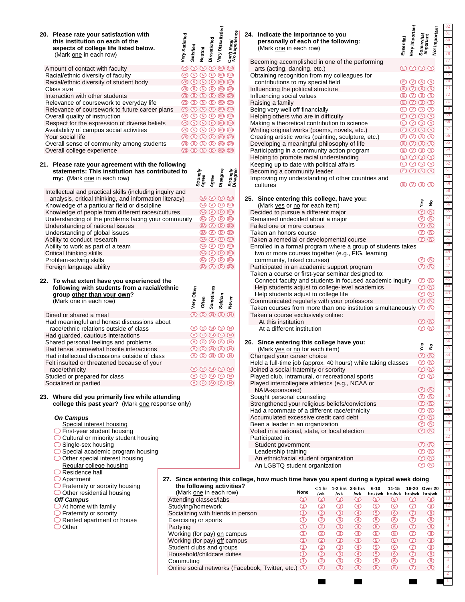| 20. Please rate your satisfaction with<br>this institution on each of the<br>aspects of college life listed below.<br>(Mark one in each row)                                                                                                                                                                                                                                                             | Very Satisfied                                                                                                                                                                                                                                                  | Satisfied<br><b>Neutral</b>                                                                         | <b>Dissatisfied</b>                                                                               | Very Dissatisfied | Can't Rate/<br>No Experience |
|----------------------------------------------------------------------------------------------------------------------------------------------------------------------------------------------------------------------------------------------------------------------------------------------------------------------------------------------------------------------------------------------------------|-----------------------------------------------------------------------------------------------------------------------------------------------------------------------------------------------------------------------------------------------------------------|-----------------------------------------------------------------------------------------------------|---------------------------------------------------------------------------------------------------|-------------------|------------------------------|
| Amount of contact with faculty                                                                                                                                                                                                                                                                                                                                                                           |                                                                                                                                                                                                                                                                 | $\circledcirc \circledcirc \circledcirc \circledcirc$                                               |                                                                                                   |                   |                              |
| Racial/ethnic diversity of faculty                                                                                                                                                                                                                                                                                                                                                                       |                                                                                                                                                                                                                                                                 | $\circledcirc \circledcirc \circledcirc \circledcirc$                                               |                                                                                                   |                   |                              |
| Racial/ethnic diversity of student body                                                                                                                                                                                                                                                                                                                                                                  |                                                                                                                                                                                                                                                                 | $\circledcirc \circledcirc \circledcirc \circledcirc$                                               |                                                                                                   |                   |                              |
| Class size                                                                                                                                                                                                                                                                                                                                                                                               |                                                                                                                                                                                                                                                                 | $\circledcirc$ $\circledcirc$ $\circledcirc$ $\circledcirc$                                         |                                                                                                   |                   |                              |
| Interaction with other students                                                                                                                                                                                                                                                                                                                                                                          |                                                                                                                                                                                                                                                                 | $\circledcirc \circledcirc \circledcirc \circledcirc$                                               |                                                                                                   |                   |                              |
| Relevance of coursework to everyday life                                                                                                                                                                                                                                                                                                                                                                 |                                                                                                                                                                                                                                                                 | $\circledcirc$ $\circledcirc$ $\circledcirc$ $\circledcirc$                                         |                                                                                                   |                   |                              |
| Relevance of coursework to future career plans                                                                                                                                                                                                                                                                                                                                                           |                                                                                                                                                                                                                                                                 | $\circledcirc \circledcirc \circledcirc \circledcirc$                                               |                                                                                                   |                   |                              |
| Overall quality of instruction                                                                                                                                                                                                                                                                                                                                                                           |                                                                                                                                                                                                                                                                 | $\circledR$ $\circledR$ $\circledR$ $\circledR$ $\circledR$                                         |                                                                                                   |                   |                              |
| Respect for the expression of diverse beliefs                                                                                                                                                                                                                                                                                                                                                            |                                                                                                                                                                                                                                                                 | $\circledcirc \circledcirc \circledcirc \circledcirc$                                               |                                                                                                   |                   |                              |
| Availability of campus social activities                                                                                                                                                                                                                                                                                                                                                                 |                                                                                                                                                                                                                                                                 | $\circledcirc$ $\circledcirc$ $\circledcirc$ $\circledcirc$                                         |                                                                                                   |                   |                              |
| Your social life                                                                                                                                                                                                                                                                                                                                                                                         |                                                                                                                                                                                                                                                                 | $\textcircled{\tiny{R}}$ $\textcircled{\tiny{R}}$ $\textcircled{\tiny{R}}$ $\textcircled{\tiny{R}}$ |                                                                                                   |                   |                              |
| Overall sense of community among students                                                                                                                                                                                                                                                                                                                                                                |                                                                                                                                                                                                                                                                 | $\circledcirc$ $\circledcirc$ $\circledcirc$ $\circledcirc$                                         |                                                                                                   |                   |                              |
| Overall college experience                                                                                                                                                                                                                                                                                                                                                                               |                                                                                                                                                                                                                                                                 | $\textcircled{\tiny{R}}$ $\textcircled{\tiny{R}}$ $\textcircled{\tiny{R}}$ $\textcircled{\tiny{R}}$ |                                                                                                   |                   |                              |
| 21. Please rate your agreement with the following<br>statements: This institution has contributed to<br>my: (Mark one in each row)                                                                                                                                                                                                                                                                       |                                                                                                                                                                                                                                                                 | Strongly<br>Agree                                                                                   | Agree                                                                                             | Disagree          | <b>Strongly</b><br>Disagree  |
| Intellectual and practical skills (including inquiry and                                                                                                                                                                                                                                                                                                                                                 |                                                                                                                                                                                                                                                                 |                                                                                                     |                                                                                                   |                   |                              |
| analysis, critical thinking, and information literacy)                                                                                                                                                                                                                                                                                                                                                   |                                                                                                                                                                                                                                                                 |                                                                                                     | <u>கை குறை</u>                                                                                    |                   |                              |
| Knowledge of a particular field or discipline                                                                                                                                                                                                                                                                                                                                                            |                                                                                                                                                                                                                                                                 |                                                                                                     | <b>தை குரு கு</b>                                                                                 |                   |                              |
| Knowledge of people from different races/cultures                                                                                                                                                                                                                                                                                                                                                        |                                                                                                                                                                                                                                                                 |                                                                                                     | $\circledR \circledR \circledR$                                                                   |                   |                              |
| Understanding of the problems facing your community                                                                                                                                                                                                                                                                                                                                                      |                                                                                                                                                                                                                                                                 |                                                                                                     | $(A)$ (A) $(B)$ (B)                                                                               |                   |                              |
| Understanding of national issues                                                                                                                                                                                                                                                                                                                                                                         |                                                                                                                                                                                                                                                                 |                                                                                                     | $\overline{\mathfrak{A}} \overline{\mathfrak{A}} \overline{\mathfrak{O}} \overline{\mathfrak{B}}$ |                   |                              |
| Understanding of global issues                                                                                                                                                                                                                                                                                                                                                                           |                                                                                                                                                                                                                                                                 |                                                                                                     | $\overline{\mathbb{Q}}$ $\overline{\mathbb{Q}}$ $\overline{\mathbb{Q}}$ $\overline{\mathbb{Q}}$   |                   |                              |
| Ability to conduct research                                                                                                                                                                                                                                                                                                                                                                              |                                                                                                                                                                                                                                                                 |                                                                                                     | $\circledcirc$ $\circledcirc$ $\circledcirc$                                                      |                   |                              |
| Ability to work as part of a team                                                                                                                                                                                                                                                                                                                                                                        |                                                                                                                                                                                                                                                                 |                                                                                                     | $(A)$ (A) $(B)$ (B)                                                                               |                   |                              |
| Critical thinking skills                                                                                                                                                                                                                                                                                                                                                                                 |                                                                                                                                                                                                                                                                 |                                                                                                     | $\overline{\mathfrak{A}} \overline{\mathfrak{A}} \overline{\mathfrak{O}} \overline{\mathfrak{B}}$ |                   |                              |
| Problem-solving skills                                                                                                                                                                                                                                                                                                                                                                                   |                                                                                                                                                                                                                                                                 |                                                                                                     | $\overline{\mathbb{A}\oplus \mathbb{O}}$ $\overline{\mathbb{O}}$                                  |                   |                              |
| Foreign language ability                                                                                                                                                                                                                                                                                                                                                                                 |                                                                                                                                                                                                                                                                 |                                                                                                     | $\overline{\mathfrak{A}} \overline{\mathfrak{A}} \overline{\mathfrak{O}} \overline{\mathfrak{B}}$ |                   |                              |
|                                                                                                                                                                                                                                                                                                                                                                                                          |                                                                                                                                                                                                                                                                 |                                                                                                     |                                                                                                   |                   |                              |
| 22. To what extent have you experienced the<br>following with students from a racial/ethnic<br>group other than your own?<br>(Mark one in each row)                                                                                                                                                                                                                                                      |                                                                                                                                                                                                                                                                 | Very Often<br>Often                                                                                 | Sometimes                                                                                         | Seldom            |                              |
| Dined or shared a meal                                                                                                                                                                                                                                                                                                                                                                                   |                                                                                                                                                                                                                                                                 | ത                                                                                                   | (St)                                                                                              | $\circ$           |                              |
| Had meaningful and honest discussions about                                                                                                                                                                                                                                                                                                                                                              |                                                                                                                                                                                                                                                                 |                                                                                                     |                                                                                                   |                   |                              |
| race/ethnic relations outside of class                                                                                                                                                                                                                                                                                                                                                                   |                                                                                                                                                                                                                                                                 | $\mathbb{O} \mathbb{O} \mathbb{O} \mathbb{O} \mathbb{O}$                                            |                                                                                                   |                   |                              |
| Had quarded, cautious interactions                                                                                                                                                                                                                                                                                                                                                                       |                                                                                                                                                                                                                                                                 | 000000                                                                                              |                                                                                                   |                   |                              |
| Shared personal feelings and problems                                                                                                                                                                                                                                                                                                                                                                    |                                                                                                                                                                                                                                                                 | $\circledcirc$ $\circledcirc$ $\circledcirc$ $\circledcirc$                                         |                                                                                                   |                   |                              |
| Had tense, somewhat hostile interactions                                                                                                                                                                                                                                                                                                                                                                 |                                                                                                                                                                                                                                                                 | 000000                                                                                              |                                                                                                   |                   |                              |
| Had intellectual discussions outside of class                                                                                                                                                                                                                                                                                                                                                            |                                                                                                                                                                                                                                                                 | $\overline{\mathbb{O}}\circledcirc\overline{\circledcirc}\circledcirc$                              |                                                                                                   |                   |                              |
| Felt insulted or threatened because of your                                                                                                                                                                                                                                                                                                                                                              |                                                                                                                                                                                                                                                                 |                                                                                                     |                                                                                                   |                   |                              |
| race/ethnicity                                                                                                                                                                                                                                                                                                                                                                                           |                                                                                                                                                                                                                                                                 | $\mathbb{O} \odot \mathbb{G} \odot \mathbb{O}$                                                      |                                                                                                   |                   |                              |
| Studied or prepared for class                                                                                                                                                                                                                                                                                                                                                                            |                                                                                                                                                                                                                                                                 | $\mathbb{O} \odot \mathbb{G} \odot \mathbb{O}$                                                      |                                                                                                   |                   |                              |
| Socialized or partied                                                                                                                                                                                                                                                                                                                                                                                    |                                                                                                                                                                                                                                                                 | $\circledD$ $\circledS$ $\circledR$ $\circledR$ $\circledR$                                         |                                                                                                   |                   |                              |
| 23. Where did you primarily live while attending<br>college this past year? (Mark one response only)<br><b>On Campus</b><br>Special interest housing<br>$\bigcirc$ First-year student housing<br>$\bigcirc$ Cultural or minority student housing<br>$\bigcirc$ Single-sex housing<br>$\bigcirc$ Special academic program housing<br>$\bigcirc$ Other special interest housing<br>Regular college housing |                                                                                                                                                                                                                                                                 |                                                                                                     |                                                                                                   |                   |                              |
| $\bigcirc$ Residence hall<br>$\bigcirc$ Apartment<br>$\bigcirc$ Fraternity or sorority housing<br>$\bigcirc$ Other residential housing<br><b>Off Campus</b><br>$\bigcirc$ At home with family<br>$\bigcirc$ Fraternity or sorority<br>Rented apartment or house<br>$\bigcirc$ Other                                                                                                                      | 27. Since entering this co<br>the following activities<br>(Mark one in each row)<br>Attending classes/labs<br>Studying/homework<br>Socializing with friends in p<br>Exercising or sports<br>Partying<br>Working (for pay) on camp<br>Working (for pay) off camp |                                                                                                     |                                                                                                   |                   |                              |

| 24. Indicate the importance to you<br>personally of each of the following:              | Essential | Very Important                                                 | Somewhat<br>Important      | lot Important           |
|-----------------------------------------------------------------------------------------|-----------|----------------------------------------------------------------|----------------------------|-------------------------|
| (Mark one in each row)                                                                  |           |                                                                |                            |                         |
| Becoming accomplished in one of the performing<br>arts (acting, dancing, etc.)          |           | $\textcircled{\tiny{\textcircled{\tiny{F}}}}$                  |                            |                         |
| Obtaining recognition from my colleagues for                                            |           |                                                                |                            |                         |
| contributions to my special field                                                       |           | © ⊙ ⊙ ®                                                        |                            |                         |
| Influencing the political structure                                                     |           | $\textcircled{\textcircled{\small{w}}}\textcircled{\small{w}}$ |                            |                         |
| Influencing social values                                                               |           | $\circledcirc$ $\circledcirc$ $\circledcirc$                   |                            |                         |
| Raising a family                                                                        |           | $\textcircled{\tiny{\textcircled{\tiny{F}}}}$                  |                            |                         |
| Being very well off financially                                                         |           | © ⊙ ⊙ N                                                        |                            |                         |
| Helping others who are in difficulty                                                    |           | $\textcircled{\tiny{F}}$                                       |                            |                         |
| Making a theoretical contribution to science                                            |           | $\textcircled{\tiny{F}}$                                       |                            |                         |
| Writing original works (poems, novels, etc.)                                            |           | $\textcircled{\textcircled{\small{w}}}\textcircled{\small{w}}$ |                            |                         |
| Creating artistic works (painting, sculpture, etc.)                                     |           | $\circledcirc$ $\circledcirc$ $\circledcirc$                   |                            |                         |
| Developing a meaningful philosophy of life                                              |           | $\textcircled{\textcircled{\small{w}}}\textcircled{\small{w}}$ |                            |                         |
| Participating in a community action program                                             |           | $\circledcirc$ $\circledcirc$ $\circledcirc$                   |                            |                         |
| Helping to promote racial understanding                                                 |           | $\textcircled{\textcircled{\small{w}}}\textcircled{\small{w}}$ |                            |                         |
| Keeping up to date with political affairs                                               |           | $\circledcirc$ $\circledcirc$ $\circledcirc$                   |                            |                         |
| Becoming a community leader                                                             |           | $\textcircled{\textcircled{\small{w}}}\textcircled{\small{w}}$ |                            |                         |
| Improving my understanding of other countries and                                       |           |                                                                |                            |                         |
| cultures                                                                                |           | © ⊙ ⊙ ®                                                        |                            |                         |
| 25. Since entering this college, have you:<br>(Mark yes or no for each item)            |           |                                                                | Yes                        | £                       |
| Decided to pursue a different major                                                     |           |                                                                |                            | (0, 0)                  |
| Remained undecided about a maior                                                        |           |                                                                | $(7)$ $($ <sup>N</sup> $)$ |                         |
| Failed one or more courses                                                              |           |                                                                |                            | $\circledR$             |
| Taken an honors course                                                                  |           |                                                                | $(D)$ $(D)$                |                         |
| Taken a remedial or developmental course                                                |           |                                                                |                            | $(D_0, D_1)$            |
| Enrolled in a formal program where a group of students takes                            |           |                                                                |                            |                         |
| two or more courses together (e.g., FIG, learning<br>community, linked courses)         |           |                                                                | $\circledR$                |                         |
| Participated in an academic support program                                             |           |                                                                |                            | O (D                    |
| Taken a course or first-year seminar designed to:                                       |           |                                                                |                            |                         |
| Connect faculty and students in focused academic inquiry                                |           |                                                                | O N                        |                         |
| Help students adjust to college-level academics                                         |           |                                                                |                            | (0, 0)                  |
| Help students adjust to college life                                                    |           |                                                                | $(D)$ $(D)$                |                         |
| Communicated regularly with your professors                                             |           |                                                                |                            | $\circledR$             |
| Taken courses from more than one institution simultaneously $\mathfrak{D} \mathfrak{D}$ |           |                                                                |                            |                         |
| Taken a course exclusively online:<br>At this institution                               |           |                                                                | $\circledR$                |                         |
| At a different institution                                                              |           |                                                                | O (N                       |                         |
|                                                                                         |           |                                                                |                            |                         |
| 26. Since entering this college have you:<br>(Mark yes or no for each item)             |           |                                                                | ٧es                        | £                       |
| Changed your career choice                                                              |           |                                                                | (0, 0)                     |                         |
| Held a full-time job (approx. 40 hours) while taking classes                            |           |                                                                | $\circledR$ $\circledR$    |                         |
| Joined a social fraternity or sorority                                                  |           |                                                                | $\circledR$                |                         |
| Played club, intramural, or recreational sports                                         |           |                                                                | $(2)$ (N)                  |                         |
| Played intercollegiate athletics (e.g., NCAA or                                         |           |                                                                |                            |                         |
| NAIA-sponsored)                                                                         |           |                                                                |                            | $\mathbb{O} \mathbb{O}$ |
| Sought personal counseling                                                              |           |                                                                |                            | $\circledR$             |
| Strengthened your religious beliefs/convictions                                         |           |                                                                |                            | $\circledR$             |
| Had a roommate of a different race/ethnicity                                            |           |                                                                |                            | $\circledR$             |
| Accumulated excessive credit card debt                                                  |           |                                                                |                            | $\circledR$             |
| Been a leader in an organization                                                        |           |                                                                |                            | $\mathbb{O} \times$     |
| Voted in a national, state, or local election                                           |           |                                                                |                            | $\circledR$             |
| Participated in:                                                                        |           |                                                                |                            |                         |
| Student government                                                                      |           |                                                                |                            | $\circledR$             |
| Leadership training                                                                     |           |                                                                |                            | $\circledR$             |
| An ethnic/racial student organization                                                   |           |                                                                |                            | $\circledR$             |
| An LGBTQ student organization                                                           |           |                                                                |                            | $\circledR$             |
| llege, how much time have you spent during a typical week doing                         |           |                                                                |                            |                         |

#### **27. Since entering this college, how much time have you spent during a typical week doing** colleg<br>ties?

| <b>THE INTURNITY ANTIFIES:</b><br>(Mark one in each row) | None | $< 1$ hr<br>/wk | /wk | $1-2$ hrs $3-5$ hrs<br>/wk | $6 - 10$<br>hrs /wk | $11 - 15$<br>hrs/wk | 16-20<br>hrs/wk | Over 20<br>hrs/wk |
|----------------------------------------------------------|------|-----------------|-----|----------------------------|---------------------|---------------------|-----------------|-------------------|
| Attending classes/labs                                   | 31   | 2               | 3   | 4                          | 5                   | 6                   |                 | ⑧                 |
| Studying/homework                                        | 11   | 2               | 3   | $\tau$                     | 5                   | ୕ୈ                  | 7               | ⑧                 |
| Socializing with friends in person                       | 31   | 2               | 3   | $\tau$                     | 3                   | 6                   | 77)             | ◉                 |
| Exercising or sports                                     | 31   | 2               | 3.  | Œ.                         | 3                   | 6                   | 7               | ®                 |
| Partying                                                 | 31   | 2               | 3   | 4                          | 5                   | 6                   | 77              | ⑧                 |
| Working (for pay) on campus                              | Œ    | 2               | 3   | $\tau$                     | 15.                 | ୕ୈ                  | 7               | ®                 |
| Working (for pay) off campus                             | 30   | 2               | 3   | $\tau$                     | (5)                 | 6                   | 77              | $\circledR$       |
| Student clubs and groups                                 | 30   | 2               | 3   | $\tau$                     | 45                  | ୕ୈ                  | 77              | ⑧                 |
| Household/childcare duties                               | 30   | 2               | ැ   | 41                         | (5)                 | 6                   | (7)             | $\circledR$       |
| Commuting                                                | (1)  | 2               | 3   | $\tau$                     | க                   | ௌ                   | (7)             | ⑧                 |
| Online social networks (Facebook, Twitter, etc.) 1       |      | (2)             | 3   | $\tau$                     | (5)                 | 6                   | 77              | ◙                 |